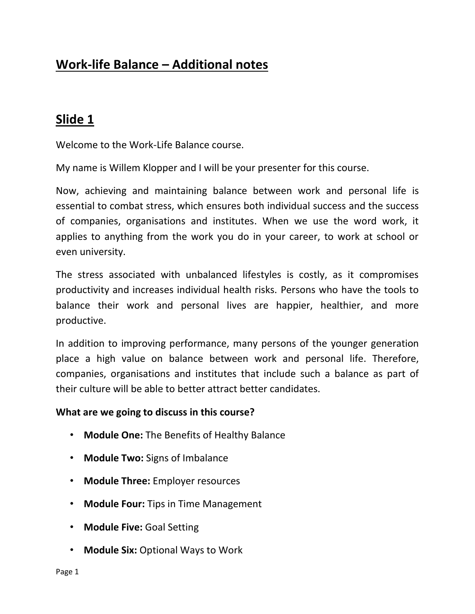# **Work-life Balance – Additional notes**

# **Slide 1**

Welcome to the Work-Life Balance course.

My name is Willem Klopper and I will be your presenter for this course.

Now, achieving and maintaining balance between work and personal life is essential to combat stress, which ensures both individual success and the success of companies, organisations and institutes. When we use the word work, it applies to anything from the work you do in your career, to work at school or even university.

The stress associated with unbalanced lifestyles is costly, as it compromises productivity and increases individual health risks. Persons who have the tools to balance their work and personal lives are happier, healthier, and more productive.

In addition to improving performance, many persons of the younger generation place a high value on balance between work and personal life. Therefore, companies, organisations and institutes that include such a balance as part of their culture will be able to better attract better candidates.

#### **What are we going to discuss in this course?**

- **Module One:** The Benefits of Healthy Balance
- **Module Two:** Signs of Imbalance
- **Module Three:** Employer resources
- **Module Four:** Tips in Time Management
- **Module Five:** Goal Setting
- **Module Six:** Optional Ways to Work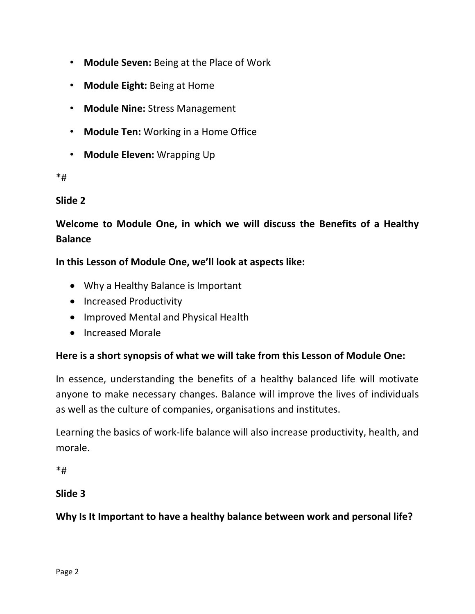- **Module Seven:** Being at the Place of Work
- **Module Eight:** Being at Home
- **Module Nine:** Stress Management
- **Module Ten:** Working in a Home Office
- **Module Eleven:** Wrapping Up

#### \*#

### **Slide 2**

# **Welcome to Module One, in which we will discuss the Benefits of a Healthy Balance**

### **In this Lesson of Module One, we'll look at aspects like:**

- Why a Healthy Balance is Important
- Increased Productivity
- Improved Mental and Physical Health
- Increased Morale

### **Here is a short synopsis of what we will take from this Lesson of Module One:**

In essence, understanding the benefits of a healthy balanced life will motivate anyone to make necessary changes. Balance will improve the lives of individuals as well as the culture of companies, organisations and institutes.

Learning the basics of work-life balance will also increase productivity, health, and morale.

\*#

### **Slide 3**

**Why Is It Important to have a healthy balance between work and personal life?**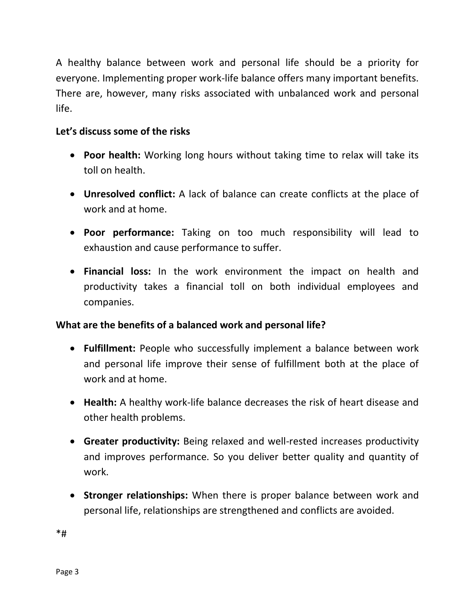A healthy balance between work and personal life should be a priority for everyone. Implementing proper work-life balance offers many important benefits. There are, however, many risks associated with unbalanced work and personal life.

### **Let's discuss some of the risks**

- **Poor health:** Working long hours without taking time to relax will take its toll on health.
- **Unresolved conflict:** A lack of balance can create conflicts at the place of work and at home.
- **Poor performance:** Taking on too much responsibility will lead to exhaustion and cause performance to suffer.
- **Financial loss:** In the work environment the impact on health and productivity takes a financial toll on both individual employees and companies.

### **What are the benefits of a balanced work and personal life?**

- **Fulfillment:** People who successfully implement a balance between work and personal life improve their sense of fulfillment both at the place of work and at home.
- **Health:** A healthy work-life balance decreases the risk of heart disease and other health problems.
- **Greater productivity:** Being relaxed and well-rested increases productivity and improves performance. So you deliver better quality and quantity of work.
- **Stronger relationships:** When there is proper balance between work and personal life, relationships are strengthened and conflicts are avoided.

\*#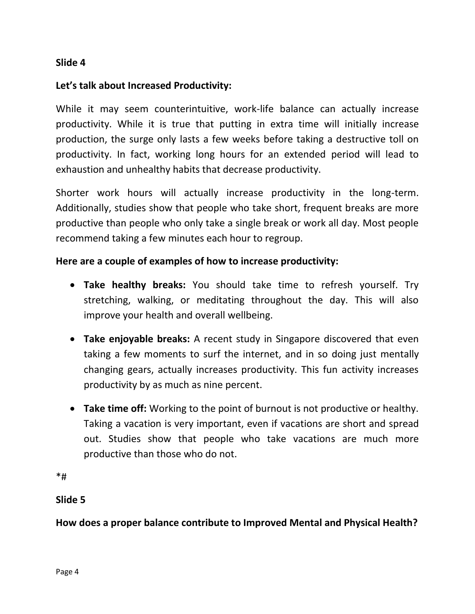#### **Slide 4**

#### **Let's talk about Increased Productivity:**

While it may seem counterintuitive, work-life balance can actually increase productivity. While it is true that putting in extra time will initially increase production, the surge only lasts a few weeks before taking a destructive toll on productivity. In fact, working long hours for an extended period will lead to exhaustion and unhealthy habits that decrease productivity.

Shorter work hours will actually increase productivity in the long-term. Additionally, studies show that people who take short, frequent breaks are more productive than people who only take a single break or work all day. Most people recommend taking a few minutes each hour to regroup.

#### **Here are a couple of examples of how to increase productivity:**

- **Take healthy breaks:** You should take time to refresh yourself. Try stretching, walking, or meditating throughout the day. This will also improve your health and overall wellbeing.
- **Take enjoyable breaks:** A recent study in Singapore discovered that even taking a few moments to surf the internet, and in so doing just mentally changing gears, actually increases productivity. This fun activity increases productivity by as much as nine percent.
- **Take time off:** Working to the point of burnout is not productive or healthy. Taking a vacation is very important, even if vacations are short and spread out. Studies show that people who take vacations are much more productive than those who do not.

\*#

#### **Slide 5**

**How does a proper balance contribute to Improved Mental and Physical Health?**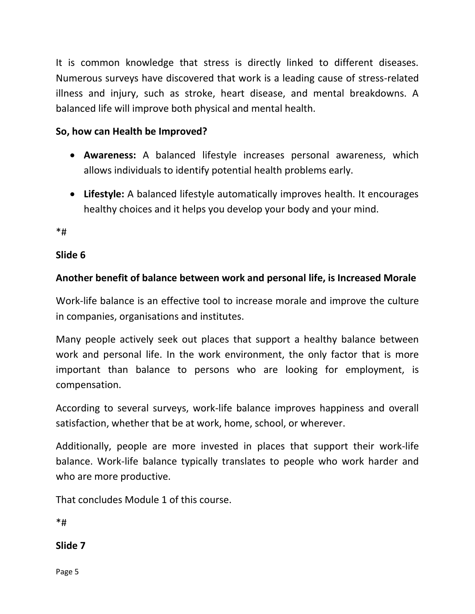It is common knowledge that stress is directly linked to different diseases. Numerous surveys have discovered that work is a leading cause of stress-related illness and injury, such as stroke, heart disease, and mental breakdowns. A balanced life will improve both physical and mental health.

## **So, how can Health be Improved?**

- **Awareness:** A balanced lifestyle increases personal awareness, which allows individuals to identify potential health problems early.
- **Lifestyle:** A balanced lifestyle automatically improves health. It encourages healthy choices and it helps you develop your body and your mind.

\*#

### **Slide 6**

## **Another benefit of balance between work and personal life, is Increased Morale**

Work-life balance is an effective tool to increase morale and improve the culture in companies, organisations and institutes.

Many people actively seek out places that support a healthy balance between work and personal life. In the work environment, the only factor that is more important than balance to persons who are looking for employment, is compensation.

According to several surveys, work-life balance improves happiness and overall satisfaction, whether that be at work, home, school, or wherever.

Additionally, people are more invested in places that support their work-life balance. Work-life balance typically translates to people who work harder and who are more productive.

That concludes Module 1 of this course.

 $*$ #

**Slide 7**

Page 5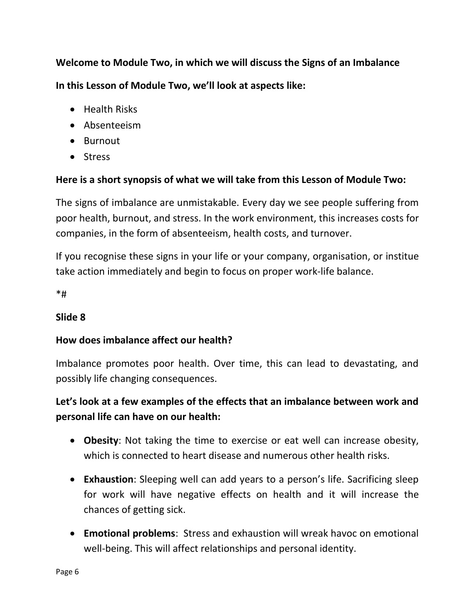**Welcome to Module Two, in which we will discuss the Signs of an Imbalance**

**In this Lesson of Module Two, we'll look at aspects like:**

- Health Risks
- Absenteeism
- Burnout
- Stress

### **Here is a short synopsis of what we will take from this Lesson of Module Two:**

The signs of imbalance are unmistakable. Every day we see people suffering from poor health, burnout, and stress. In the work environment, this increases costs for companies, in the form of absenteeism, health costs, and turnover.

If you recognise these signs in your life or your company, organisation, or institue take action immediately and begin to focus on proper work-life balance.

\*#

### **Slide 8**

### **How does imbalance affect our health?**

Imbalance promotes poor health. Over time, this can lead to devastating, and possibly life changing consequences.

# **Let's look at a few examples of the effects that an imbalance between work and personal life can have on our health:**

- **Obesity**: Not taking the time to exercise or eat well can increase obesity, which is connected to heart disease and numerous other health risks.
- **Exhaustion**: Sleeping well can add years to a person's life. Sacrificing sleep for work will have negative effects on health and it will increase the chances of getting sick.
- **Emotional problems**: Stress and exhaustion will wreak havoc on emotional well-being. This will affect relationships and personal identity.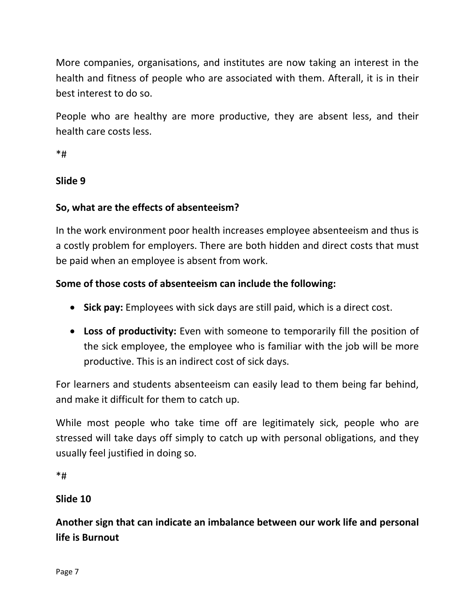More companies, organisations, and institutes are now taking an interest in the health and fitness of people who are associated with them. Afterall, it is in their best interest to do so.

People who are healthy are more productive, they are absent less, and their health care costs less.

\*#

### **Slide 9**

### **So, what are the effects of absenteeism?**

In the work environment poor health increases employee absenteeism and thus is a costly problem for employers. There are both hidden and direct costs that must be paid when an employee is absent from work.

### **Some of those costs of absenteeism can include the following:**

- **Sick pay:** Employees with sick days are still paid, which is a direct cost.
- **Loss of productivity:** Even with someone to temporarily fill the position of the sick employee, the employee who is familiar with the job will be more productive. This is an indirect cost of sick days.

For learners and students absenteeism can easily lead to them being far behind, and make it difficult for them to catch up.

While most people who take time off are legitimately sick, people who are stressed will take days off simply to catch up with personal obligations, and they usually feel justified in doing so.

\*#

### **Slide 10**

**Another sign that can indicate an imbalance between our work life and personal life is Burnout**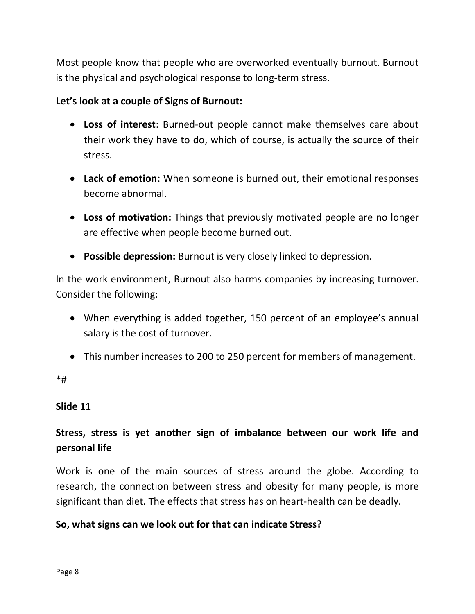Most people know that people who are overworked eventually burnout. Burnout is the physical and psychological response to long-term stress.

#### **Let's look at a couple of Signs of Burnout:**

- **Loss of interest**: Burned-out people cannot make themselves care about their work they have to do, which of course, is actually the source of their stress.
- **Lack of emotion:** When someone is burned out, their emotional responses become abnormal.
- **Loss of motivation:** Things that previously motivated people are no longer are effective when people become burned out.
- **Possible depression:** Burnout is very closely linked to depression.

In the work environment, Burnout also harms companies by increasing turnover. Consider the following:

- When everything is added together, 150 percent of an employee's annual salary is the cost of turnover.
- This number increases to 200 to 250 percent for members of management.

\*#

#### **Slide 11**

# **Stress, stress is yet another sign of imbalance between our work life and personal life**

Work is one of the main sources of stress around the globe. According to research, the connection between stress and obesity for many people, is more significant than diet. The effects that stress has on heart-health can be deadly.

### **So, what signs can we look out for that can indicate Stress?**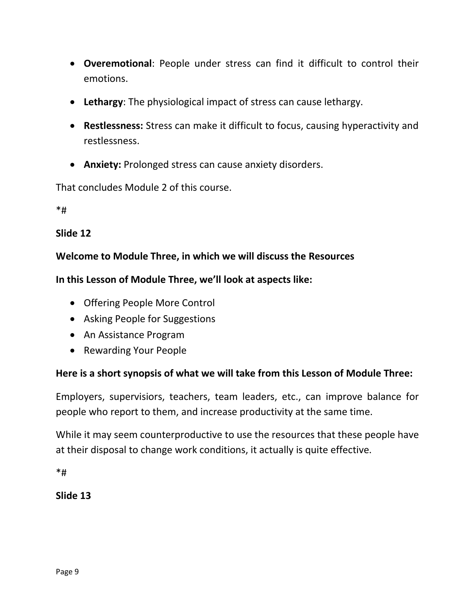- **Overemotional**: People under stress can find it difficult to control their emotions.
- **Lethargy**: The physiological impact of stress can cause lethargy.
- **Restlessness:** Stress can make it difficult to focus, causing hyperactivity and restlessness.
- **Anxiety:** Prolonged stress can cause anxiety disorders.

That concludes Module 2 of this course.

\*#

### **Slide 12**

### **Welcome to Module Three, in which we will discuss the Resources**

### **In this Lesson of Module Three, we'll look at aspects like:**

- Offering People More Control
- Asking People for Suggestions
- An Assistance Program
- Rewarding Your People

### **Here is a short synopsis of what we will take from this Lesson of Module Three:**

Employers, supervisiors, teachers, team leaders, etc., can improve balance for people who report to them, and increase productivity at the same time.

While it may seem counterproductive to use the resources that these people have at their disposal to change work conditions, it actually is quite effective.

\*#

### **Slide 13**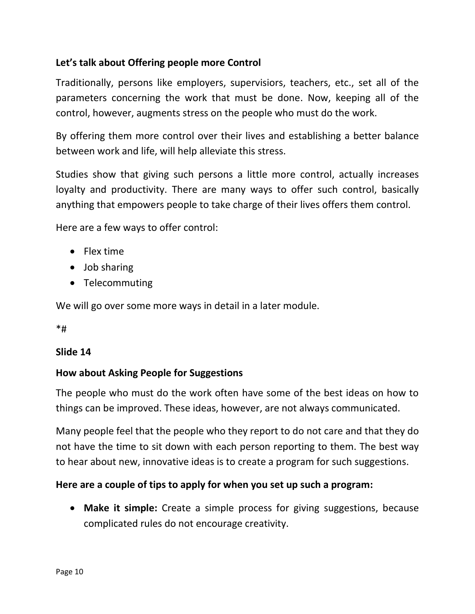### **Let's talk about Offering people more Control**

Traditionally, persons like employers, supervisiors, teachers, etc., set all of the parameters concerning the work that must be done. Now, keeping all of the control, however, augments stress on the people who must do the work.

By offering them more control over their lives and establishing a better balance between work and life, will help alleviate this stress.

Studies show that giving such persons a little more control, actually increases loyalty and productivity. There are many ways to offer such control, basically anything that empowers people to take charge of their lives offers them control.

Here are a few ways to offer control:

- Flex time
- Job sharing
- Telecommuting

We will go over some more ways in detail in a later module.

\*#

#### **Slide 14**

#### **How about Asking People for Suggestions**

The people who must do the work often have some of the best ideas on how to things can be improved. These ideas, however, are not always communicated.

Many people feel that the people who they report to do not care and that they do not have the time to sit down with each person reporting to them. The best way to hear about new, innovative ideas is to create a program for such suggestions.

#### **Here are a couple of tips to apply for when you set up such a program:**

• **Make it simple:** Create a simple process for giving suggestions, because complicated rules do not encourage creativity.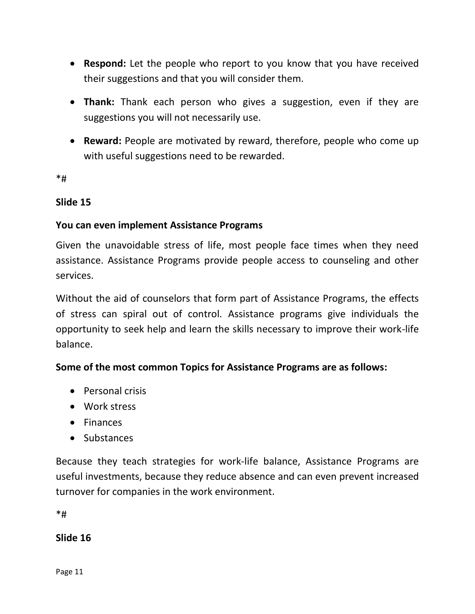- **Respond:** Let the people who report to you know that you have received their suggestions and that you will consider them.
- **Thank:** Thank each person who gives a suggestion, even if they are suggestions you will not necessarily use.
- **Reward:** People are motivated by reward, therefore, people who come up with useful suggestions need to be rewarded.

\*#

#### **Slide 15**

### **You can even implement Assistance Programs**

Given the unavoidable stress of life, most people face times when they need assistance. Assistance Programs provide people access to counseling and other services.

Without the aid of counselors that form part of Assistance Programs, the effects of stress can spiral out of control. Assistance programs give individuals the opportunity to seek help and learn the skills necessary to improve their work-life balance.

### **Some of the most common Topics for Assistance Programs are as follows:**

- Personal crisis
- Work stress
- Finances
- Substances

Because they teach strategies for work-life balance, Assistance Programs are useful investments, because they reduce absence and can even prevent increased turnover for companies in the work environment.

\*#

**Slide 16**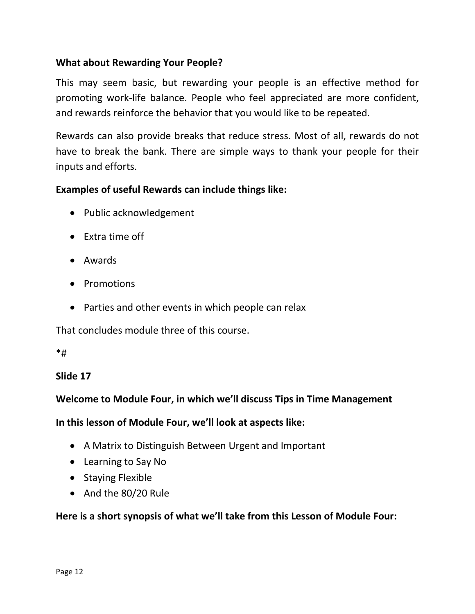### **What about Rewarding Your People?**

This may seem basic, but rewarding your people is an effective method for promoting work-life balance. People who feel appreciated are more confident, and rewards reinforce the behavior that you would like to be repeated.

Rewards can also provide breaks that reduce stress. Most of all, rewards do not have to break the bank. There are simple ways to thank your people for their inputs and efforts.

#### **Examples of useful Rewards can include things like:**

- Public acknowledgement
- Extra time off
- Awards
- Promotions
- Parties and other events in which people can relax

That concludes module three of this course.

#### \*#

#### **Slide 17**

### **Welcome to Module Four, in which we'll discuss Tips in Time Management**

**In this lesson of Module Four, we'll look at aspects like:**

- A Matrix to Distinguish Between Urgent and Important
- Learning to Say No
- Staying Flexible
- And the 80/20 Rule

#### **Here is a short synopsis of what we'll take from this Lesson of Module Four:**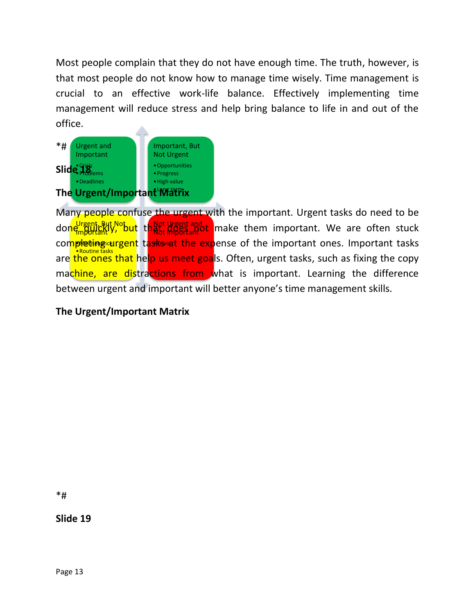Most people complain that they do not have enough time. The truth, however, is that most people do not know how to manage time wisely. Time management is crucial to an effective work-life balance. Effectively implementing time management will reduce stress and help bring balance to life in and out of the office.



Urgent, But Not <mark>important</mark> completing urgent tasks at the expense of the important ones. Important tasks •Routine tasks Not Urgent and done Bullianty, but that diserve that make them important. We are often stuck Many people confuse the urgent with the important. Urgent tasks do need to be are the ones that help us meet goals. Often, urgent tasks, such as fixing the copy machine, are distractions from what is important. Learning the difference between urgent and important will better anyone's time management skills.

### **The Urgent/Important Matrix**

\*#

**Slide 19**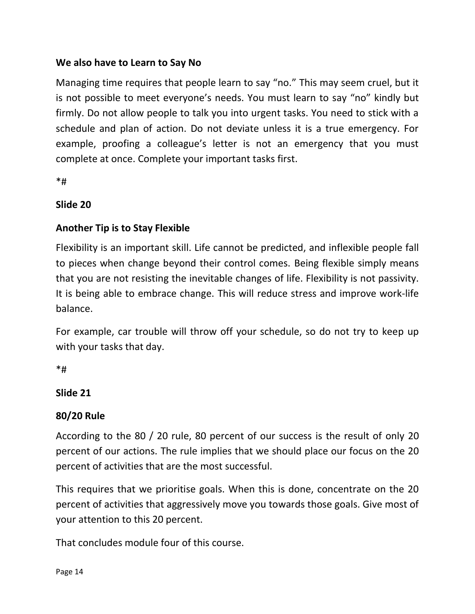### **We also have to Learn to Say No**

Managing time requires that people learn to say "no." This may seem cruel, but it is not possible to meet everyone's needs. You must learn to say "no" kindly but firmly. Do not allow people to talk you into urgent tasks. You need to stick with a schedule and plan of action. Do not deviate unless it is a true emergency. For example, proofing a colleague's letter is not an emergency that you must complete at once. Complete your important tasks first.

\*#

### **Slide 20**

### **Another Tip is to Stay Flexible**

Flexibility is an important skill. Life cannot be predicted, and inflexible people fall to pieces when change beyond their control comes. Being flexible simply means that you are not resisting the inevitable changes of life. Flexibility is not passivity. It is being able to embrace change. This will reduce stress and improve work-life balance.

For example, car trouble will throw off your schedule, so do not try to keep up with your tasks that day.

 $*$ #

### **Slide 21**

### **80/20 Rule**

According to the 80 / 20 rule, 80 percent of our success is the result of only 20 percent of our actions. The rule implies that we should place our focus on the 20 percent of activities that are the most successful.

This requires that we prioritise goals. When this is done, concentrate on the 20 percent of activities that aggressively move you towards those goals. Give most of your attention to this 20 percent.

That concludes module four of this course.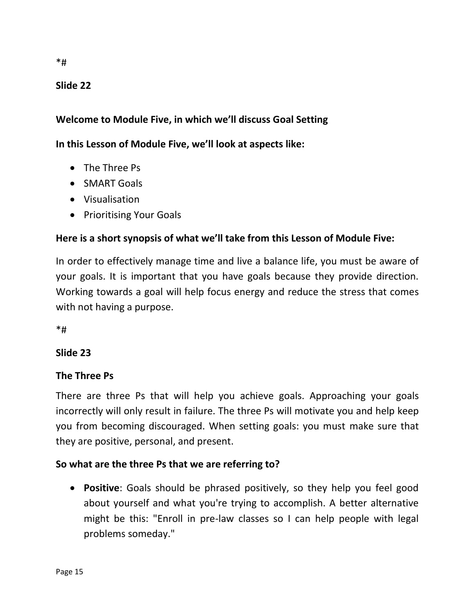### **Slide 22**

### **Welcome to Module Five, in which we'll discuss Goal Setting**

#### **In this Lesson of Module Five, we'll look at aspects like:**

- The Three Ps
- SMART Goals
- Visualisation
- Prioritising Your Goals

#### **Here is a short synopsis of what we'll take from this Lesson of Module Five:**

In order to effectively manage time and live a balance life, you must be aware of your goals. It is important that you have goals because they provide direction. Working towards a goal will help focus energy and reduce the stress that comes with not having a purpose.

\*#

### **Slide 23**

#### **The Three Ps**

There are three Ps that will help you achieve goals. Approaching your goals incorrectly will only result in failure. The three Ps will motivate you and help keep you from becoming discouraged. When setting goals: you must make sure that they are positive, personal, and present.

#### **So what are the three Ps that we are referring to?**

• **Positive**: Goals should be phrased positively, so they help you feel good about yourself and what you're trying to accomplish. A better alternative might be this: "Enroll in pre-law classes so I can help people with legal problems someday."

\*#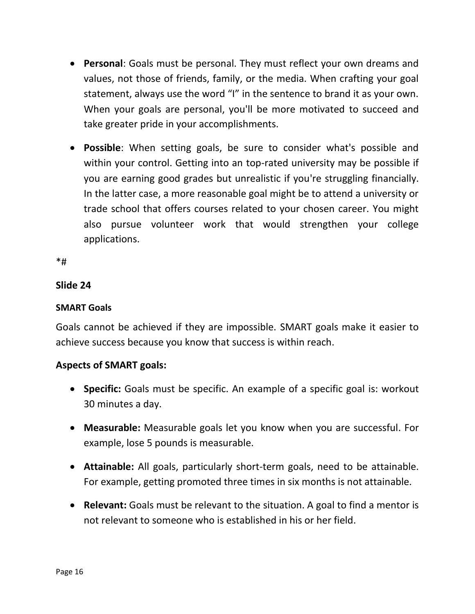- **Personal**: Goals must be personal. They must reflect your own dreams and values, not those of friends, family, or the media. When crafting your goal statement, always use the word "I" in the sentence to brand it as your own. When your goals are personal, you'll be more motivated to succeed and take greater pride in your accomplishments.
- **Possible**: When setting goals, be sure to consider what's possible and within your control. Getting into an top-rated university may be possible if you are earning good grades but unrealistic if you're struggling financially. In the latter case, a more reasonable goal might be to attend a university or trade school that offers courses related to your chosen career. You might also pursue volunteer work that would strengthen your college applications.

\*#

#### **Slide 24**

#### **SMART Goals**

Goals cannot be achieved if they are impossible. SMART goals make it easier to achieve success because you know that success is within reach.

#### **Aspects of SMART goals:**

- **Specific:** Goals must be specific. An example of a specific goal is: workout 30 minutes a day.
- **Measurable:** Measurable goals let you know when you are successful. For example, lose 5 pounds is measurable.
- **Attainable:** All goals, particularly short-term goals, need to be attainable. For example, getting promoted three times in six months is not attainable.
- **Relevant:** Goals must be relevant to the situation. A goal to find a mentor is not relevant to someone who is established in his or her field.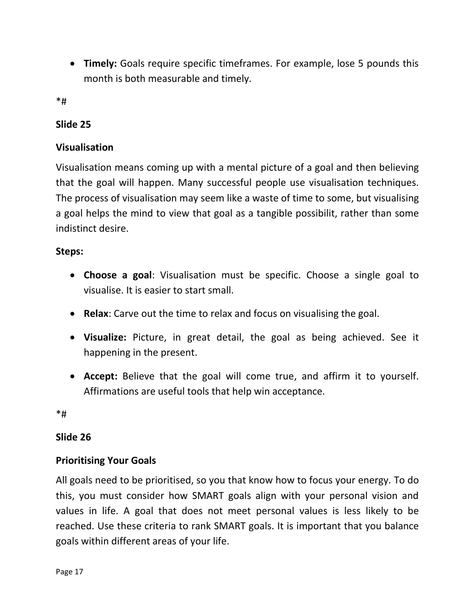• **Timely:** Goals require specific timeframes. For example, lose 5 pounds this month is both measurable and timely.

\*#

### **Slide 25**

### **Visualisation**

Visualisation means coming up with a mental picture of a goal and then believing that the goal will happen. Many successful people use visualisation techniques. The process of visualisation may seem like a waste of time to some, but visualising a goal helps the mind to view that goal as a tangible possibilit, rather than some indistinct desire.

### **Steps:**

- **Choose a goal**: Visualisation must be specific. Choose a single goal to visualise. It is easier to start small.
- **Relax**: Carve out the time to relax and focus on visualising the goal.
- **Visualize:** Picture, in great detail, the goal as being achieved. See it happening in the present.
- **Accept:** Believe that the goal will come true, and affirm it to yourself. Affirmations are useful tools that help win acceptance.

\*#

### **Slide 26**

### **Prioritising Your Goals**

All goals need to be prioritised, so you that know how to focus your energy. To do this, you must consider how SMART goals align with your personal vision and values in life. A goal that does not meet personal values is less likely to be reached. Use these criteria to rank SMART goals. It is important that you balance goals within different areas of your life.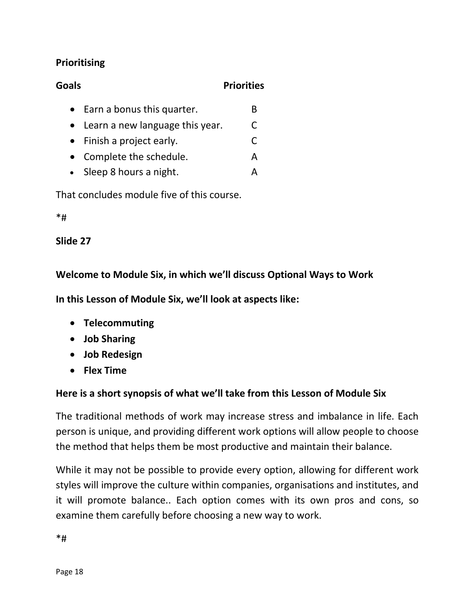### **Prioritising**

| Goals |                                      | <b>Priorities</b> |   |
|-------|--------------------------------------|-------------------|---|
|       | $\bullet$ Earn a bonus this quarter. |                   | В |
|       | Learn a new language this year.      |                   | C |
|       | $\bullet$ Finish a project early.    |                   | C |
|       | Complete the schedule.               |                   | А |
|       | • Sleep 8 hours a night.             |                   |   |
|       |                                      |                   |   |

That concludes module five of this course.

\*#

### **Slide 27**

**Welcome to Module Six, in which we'll discuss Optional Ways to Work**

**In this Lesson of Module Six, we'll look at aspects like:**

- **Telecommuting**
- **Job Sharing**
- **Job Redesign**
- **Flex Time**

### **Here is a short synopsis of what we'll take from this Lesson of Module Six**

The traditional methods of work may increase stress and imbalance in life. Each person is unique, and providing different work options will allow people to choose the method that helps them be most productive and maintain their balance.

While it may not be possible to provide every option, allowing for different work styles will improve the culture within companies, organisations and institutes, and it will promote balance.. Each option comes with its own pros and cons, so examine them carefully before choosing a new way to work.

\*#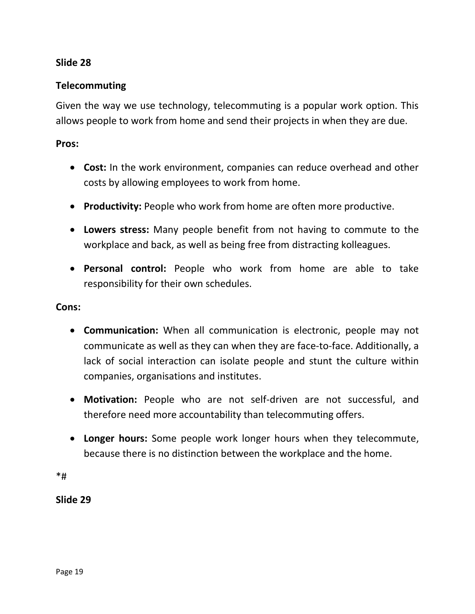#### **Slide 28**

#### **Telecommuting**

Given the way we use technology, telecommuting is a popular work option. This allows people to work from home and send their projects in when they are due.

#### **Pros:**

- **Cost:** In the work environment, companies can reduce overhead and other costs by allowing employees to work from home.
- **Productivity:** People who work from home are often more productive.
- **Lowers stress:** Many people benefit from not having to commute to the workplace and back, as well as being free from distracting kolleagues.
- **Personal control:** People who work from home are able to take responsibility for their own schedules.

#### **Cons:**

- **Communication:** When all communication is electronic, people may not communicate as well as they can when they are face-to-face. Additionally, a lack of social interaction can isolate people and stunt the culture within companies, organisations and institutes.
- **Motivation:** People who are not self-driven are not successful, and therefore need more accountability than telecommuting offers.
- **Longer hours:** Some people work longer hours when they telecommute, because there is no distinction between the workplace and the home.

\*#

**Slide 29**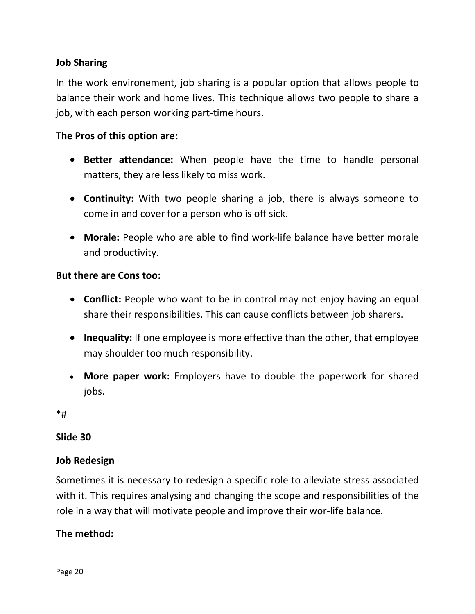### **Job Sharing**

In the work environement, job sharing is a popular option that allows people to balance their work and home lives. This technique allows two people to share a job, with each person working part-time hours.

#### **The Pros of this option are:**

- **Better attendance:** When people have the time to handle personal matters, they are less likely to miss work.
- **Continuity:** With two people sharing a job, there is always someone to come in and cover for a person who is off sick.
- **Morale:** People who are able to find work-life balance have better morale and productivity.

#### **But there are Cons too:**

- **Conflict:** People who want to be in control may not enjoy having an equal share their responsibilities. This can cause conflicts between job sharers.
- **Inequality:** If one employee is more effective than the other, that employee may shoulder too much responsibility.
- **More paper work:** Employers have to double the paperwork for shared jobs.

\*#

#### **Slide 30**

### **Job Redesign**

Sometimes it is necessary to redesign a specific role to alleviate stress associated with it. This requires analysing and changing the scope and responsibilities of the role in a way that will motivate people and improve their wor-life balance.

### **The method:**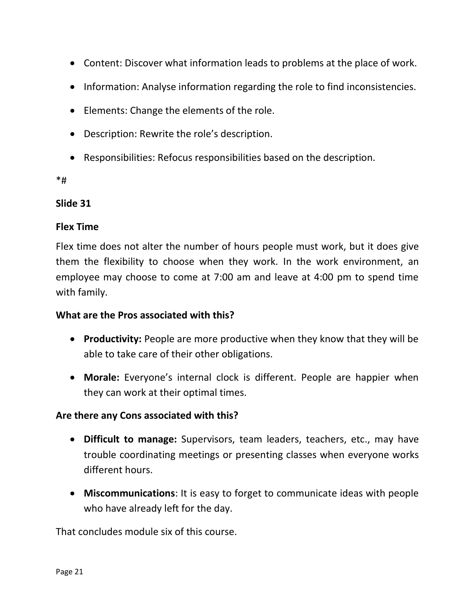- Content: Discover what information leads to problems at the place of work.
- Information: Analyse information regarding the role to find inconsistencies.
- Elements: Change the elements of the role.
- Description: Rewrite the role's description.
- Responsibilities: Refocus responsibilities based on the description.

\*#

#### **Slide 31**

#### **Flex Time**

Flex time does not alter the number of hours people must work, but it does give them the flexibility to choose when they work. In the work environment, an employee may choose to come at 7:00 am and leave at 4:00 pm to spend time with family.

#### **What are the Pros associated with this?**

- **Productivity:** People are more productive when they know that they will be able to take care of their other obligations.
- **Morale:** Everyone's internal clock is different. People are happier when they can work at their optimal times.

#### **Are there any Cons associated with this?**

- **Difficult to manage:** Supervisors, team leaders, teachers, etc., may have trouble coordinating meetings or presenting classes when everyone works different hours.
- **Miscommunications**: It is easy to forget to communicate ideas with people who have already left for the day.

That concludes module six of this course.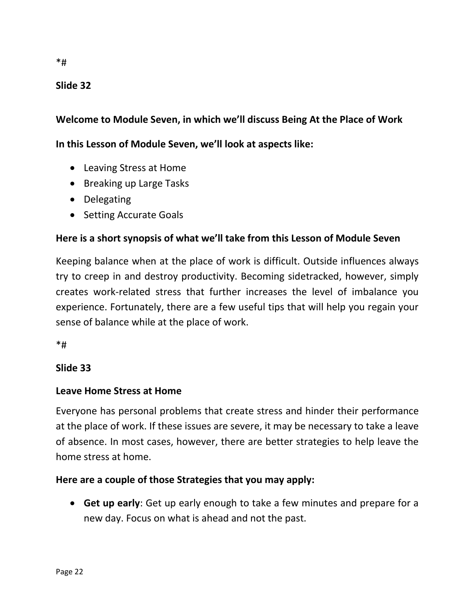### **Slide 32**

#### **Welcome to Module Seven, in which we'll discuss Being At the Place of Work**

#### **In this Lesson of Module Seven, we'll look at aspects like:**

- Leaving Stress at Home
- Breaking up Large Tasks
- Delegating
- Setting Accurate Goals

#### **Here is a short synopsis of what we'll take from this Lesson of Module Seven**

Keeping balance when at the place of work is difficult. Outside influences always try to creep in and destroy productivity. Becoming sidetracked, however, simply creates work-related stress that further increases the level of imbalance you experience. Fortunately, there are a few useful tips that will help you regain your sense of balance while at the place of work.

\*#

#### **Slide 33**

#### **Leave Home Stress at Home**

Everyone has personal problems that create stress and hinder their performance at the place of work. If these issues are severe, it may be necessary to take a leave of absence. In most cases, however, there are better strategies to help leave the home stress at home.

#### **Here are a couple of those Strategies that you may apply:**

• **Get up early**: Get up early enough to take a few minutes and prepare for a new day. Focus on what is ahead and not the past.

\*#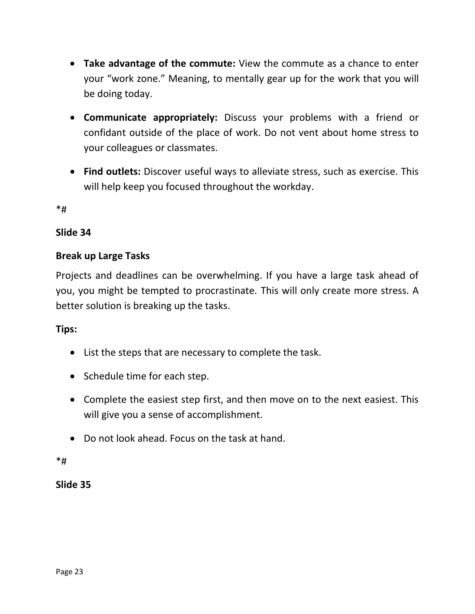- **Take advantage of the commute:** View the commute as a chance to enter your "work zone." Meaning, to mentally gear up for the work that you will be doing today.
- **Communicate appropriately:** Discuss your problems with a friend or confidant outside of the place of work. Do not vent about home stress to your colleagues or classmates.
- **Find outlets:** Discover useful ways to alleviate stress, such as exercise. This will help keep you focused throughout the workday.

\*#

#### **Slide 34**

#### **Break up Large Tasks**

Projects and deadlines can be overwhelming. If you have a large task ahead of you, you might be tempted to procrastinate. This will only create more stress. A better solution is breaking up the tasks.

#### **Tips:**

- List the steps that are necessary to complete the task.
- Schedule time for each step.
- Complete the easiest step first, and then move on to the next easiest. This will give you a sense of accomplishment.
- Do not look ahead. Focus on the task at hand.

\*#

**Slide 35**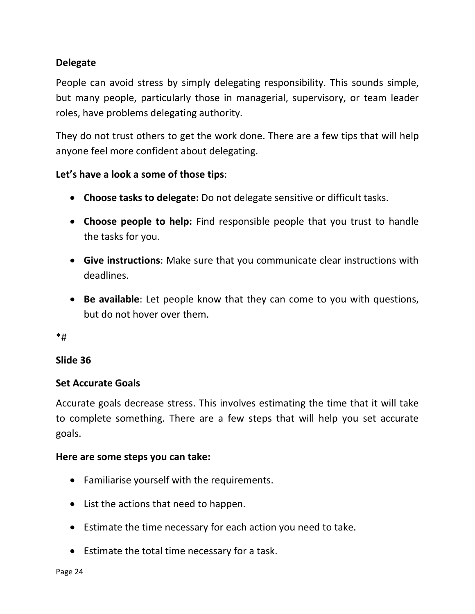### **Delegate**

People can avoid stress by simply delegating responsibility. This sounds simple, but many people, particularly those in managerial, supervisory, or team leader roles, have problems delegating authority.

They do not trust others to get the work done. There are a few tips that will help anyone feel more confident about delegating.

#### **Let's have a look a some of those tips**:

- **Choose tasks to delegate:** Do not delegate sensitive or difficult tasks.
- **Choose people to help:** Find responsible people that you trust to handle the tasks for you.
- **Give instructions**: Make sure that you communicate clear instructions with deadlines.
- **Be available**: Let people know that they can come to you with questions, but do not hover over them.

\*#

#### **Slide 36**

#### **Set Accurate Goals**

Accurate goals decrease stress. This involves estimating the time that it will take to complete something. There are a few steps that will help you set accurate goals.

#### **Here are some steps you can take:**

- Familiarise yourself with the requirements.
- List the actions that need to happen.
- Estimate the time necessary for each action you need to take.
- Estimate the total time necessary for a task.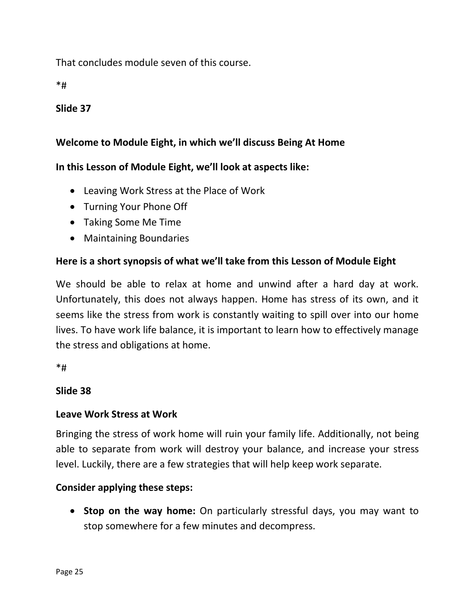That concludes module seven of this course.

\*#

### **Slide 37**

### **Welcome to Module Eight, in which we'll discuss Being At Home**

### **In this Lesson of Module Eight, we'll look at aspects like:**

- Leaving Work Stress at the Place of Work
- Turning Your Phone Off
- Taking Some Me Time
- Maintaining Boundaries

### **Here is a short synopsis of what we'll take from this Lesson of Module Eight**

We should be able to relax at home and unwind after a hard day at work. Unfortunately, this does not always happen. Home has stress of its own, and it seems like the stress from work is constantly waiting to spill over into our home lives. To have work life balance, it is important to learn how to effectively manage the stress and obligations at home.

\*#

### **Slide 38**

#### **Leave Work Stress at Work**

Bringing the stress of work home will ruin your family life. Additionally, not being able to separate from work will destroy your balance, and increase your stress level. Luckily, there are a few strategies that will help keep work separate.

### **Consider applying these steps:**

• **Stop on the way home:** On particularly stressful days, you may want to stop somewhere for a few minutes and decompress.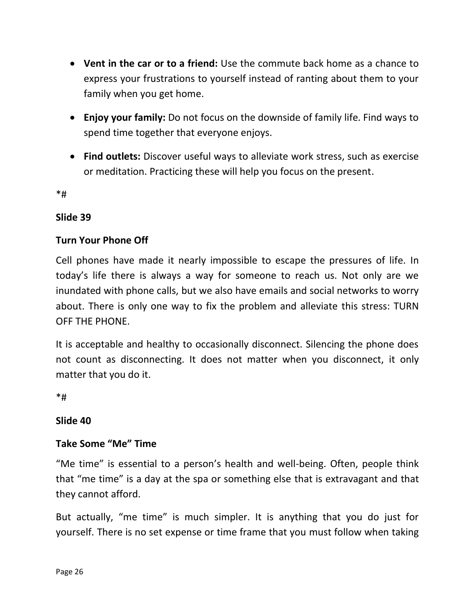- **Vent in the car or to a friend:** Use the commute back home as a chance to express your frustrations to yourself instead of ranting about them to your family when you get home.
- **Enjoy your family:** Do not focus on the downside of family life. Find ways to spend time together that everyone enjoys.
- **Find outlets:** Discover useful ways to alleviate work stress, such as exercise or meditation. Practicing these will help you focus on the present.

\*#

#### **Slide 39**

#### **Turn Your Phone Off**

Cell phones have made it nearly impossible to escape the pressures of life. In today's life there is always a way for someone to reach us. Not only are we inundated with phone calls, but we also have emails and social networks to worry about. There is only one way to fix the problem and alleviate this stress: TURN OFF THE PHONE.

It is acceptable and healthy to occasionally disconnect. Silencing the phone does not count as disconnecting. It does not matter when you disconnect, it only matter that you do it.

\*#

#### **Slide 40**

### **Take Some "Me" Time**

"Me time" is essential to a person's health and well-being. Often, people think that "me time" is a day at the spa or something else that is extravagant and that they cannot afford.

But actually, "me time" is much simpler. It is anything that you do just for yourself. There is no set expense or time frame that you must follow when taking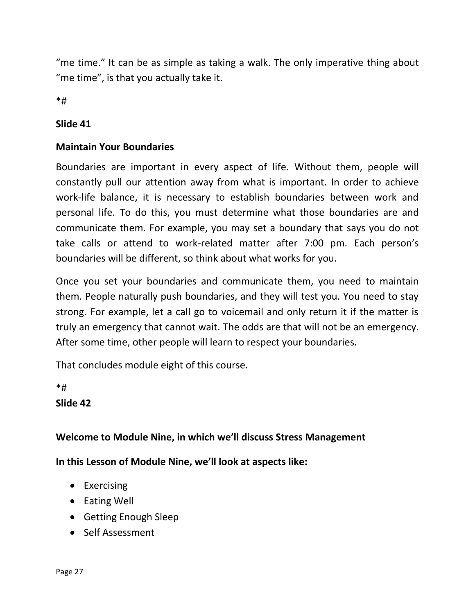"me time." It can be as simple as taking a walk. The only imperative thing about "me time", is that you actually take it.

\*#

#### **Slide 41**

### **Maintain Your Boundaries**

Boundaries are important in every aspect of life. Without them, people will constantly pull our attention away from what is important. In order to achieve work-life balance, it is necessary to establish boundaries between work and personal life. To do this, you must determine what those boundaries are and communicate them. For example, you may set a boundary that says you do not take calls or attend to work-related matter after 7:00 pm. Each person's boundaries will be different, so think about what works for you.

Once you set your boundaries and communicate them, you need to maintain them. People naturally push boundaries, and they will test you. You need to stay strong. For example, let a call go to voicemail and only return it if the matter is truly an emergency that cannot wait. The odds are that will not be an emergency. After some time, other people will learn to respect your boundaries.

That concludes module eight of this course.

\*#

### **Slide 42**

### **Welcome to Module Nine, in which we'll discuss Stress Management**

**In this Lesson of Module Nine, we'll look at aspects like:**

- Exercising
- Eating Well
- Getting Enough Sleep
- Self Assessment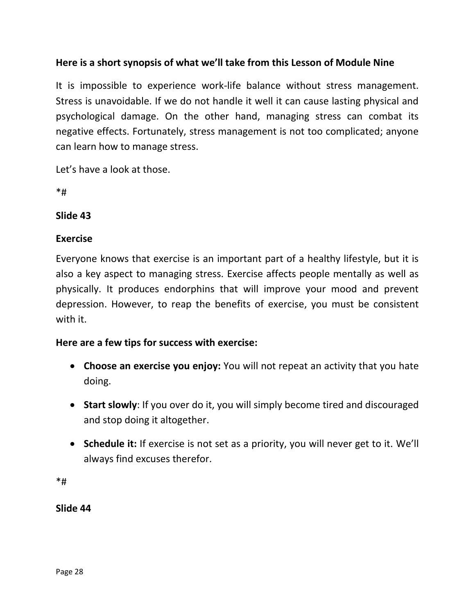### **Here is a short synopsis of what we'll take from this Lesson of Module Nine**

It is impossible to experience work-life balance without stress management. Stress is unavoidable. If we do not handle it well it can cause lasting physical and psychological damage. On the other hand, managing stress can combat its negative effects. Fortunately, stress management is not too complicated; anyone can learn how to manage stress.

Let's have a look at those.

\*#

#### **Slide 43**

#### **Exercise**

Everyone knows that exercise is an important part of a healthy lifestyle, but it is also a key aspect to managing stress. Exercise affects people mentally as well as physically. It produces endorphins that will improve your mood and prevent depression. However, to reap the benefits of exercise, you must be consistent with it.

### **Here are a few tips for success with exercise:**

- **Choose an exercise you enjoy:** You will not repeat an activity that you hate doing.
- **Start slowly**: If you over do it, you will simply become tired and discouraged and stop doing it altogether.
- **Schedule it:** If exercise is not set as a priority, you will never get to it. We'll always find excuses therefor.

\*#

**Slide 44**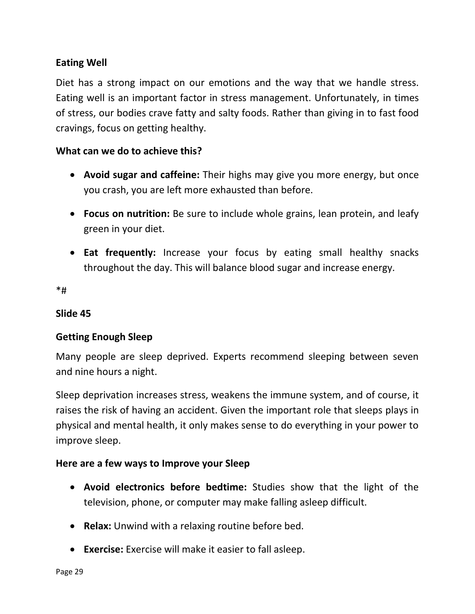### **Eating Well**

Diet has a strong impact on our emotions and the way that we handle stress. Eating well is an important factor in stress management. Unfortunately, in times of stress, our bodies crave fatty and salty foods. Rather than giving in to fast food cravings, focus on getting healthy.

#### **What can we do to achieve this?**

- **Avoid sugar and caffeine:** Their highs may give you more energy, but once you crash, you are left more exhausted than before.
- **Focus on nutrition:** Be sure to include whole grains, lean protein, and leafy green in your diet.
- **Eat frequently:** Increase your focus by eating small healthy snacks throughout the day. This will balance blood sugar and increase energy.

\*#

### **Slide 45**

### **Getting Enough Sleep**

Many people are sleep deprived. Experts recommend sleeping between seven and nine hours a night.

Sleep deprivation increases stress, weakens the immune system, and of course, it raises the risk of having an accident. Given the important role that sleeps plays in physical and mental health, it only makes sense to do everything in your power to improve sleep.

#### **Here are a few ways to Improve your Sleep**

- **Avoid electronics before bedtime:** Studies show that the light of the television, phone, or computer may make falling asleep difficult.
- **Relax:** Unwind with a relaxing routine before bed.
- **Exercise:** Exercise will make it easier to fall asleep.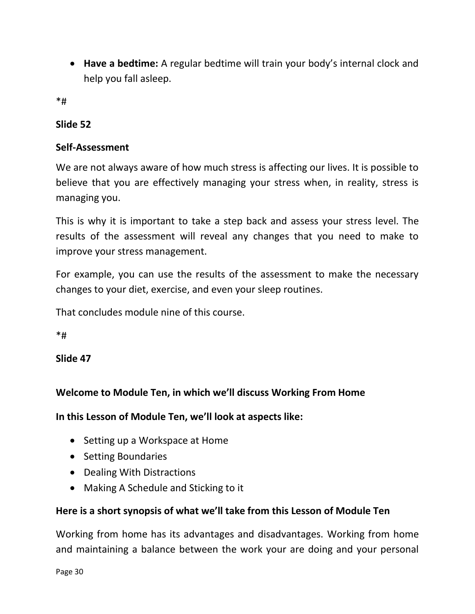• **Have a bedtime:** A regular bedtime will train your body's internal clock and help you fall asleep.

\*#

### **Slide 52**

### **Self-Assessment**

We are not always aware of how much stress is affecting our lives. It is possible to believe that you are effectively managing your stress when, in reality, stress is managing you.

This is why it is important to take a step back and assess your stress level. The results of the assessment will reveal any changes that you need to make to improve your stress management.

For example, you can use the results of the assessment to make the necessary changes to your diet, exercise, and even your sleep routines.

That concludes module nine of this course.

 $*$ #

**Slide 47**

### **Welcome to Module Ten, in which we'll discuss Working From Home**

**In this Lesson of Module Ten, we'll look at aspects like:**

- Setting up a Workspace at Home
- Setting Boundaries
- Dealing With Distractions
- Making A Schedule and Sticking to it

### **Here is a short synopsis of what we'll take from this Lesson of Module Ten**

Working from home has its advantages and disadvantages. Working from home and maintaining a balance between the work your are doing and your personal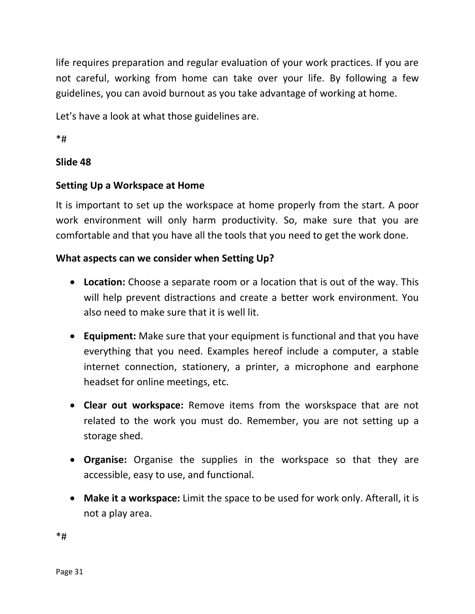life requires preparation and regular evaluation of your work practices. If you are not careful, working from home can take over your life. By following a few guidelines, you can avoid burnout as you take advantage of working at home.

Let's have a look at what those guidelines are.

\*#

### **Slide 48**

### **Setting Up a Workspace at Home**

It is important to set up the workspace at home properly from the start. A poor work environment will only harm productivity. So, make sure that you are comfortable and that you have all the tools that you need to get the work done.

### **What aspects can we consider when Setting Up?**

- **Location:** Choose a separate room or a location that is out of the way. This will help prevent distractions and create a better work environment. You also need to make sure that it is well lit.
- **Equipment:** Make sure that your equipment is functional and that you have everything that you need. Examples hereof include a computer, a stable internet connection, stationery, a printer, a microphone and earphone headset for online meetings, etc.
- **Clear out workspace:** Remove items from the worskspace that are not related to the work you must do. Remember, you are not setting up a storage shed.
- **Organise:** Organise the supplies in the workspace so that they are accessible, easy to use, and functional.
- **Make it a workspace:** Limit the space to be used for work only. Afterall, it is not a play area.

\*#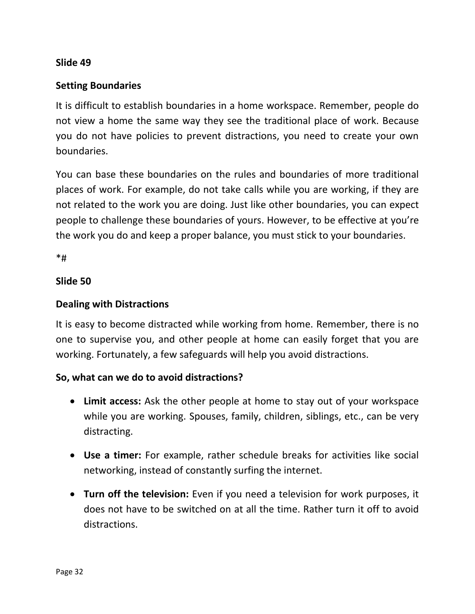#### **Slide 49**

### **Setting Boundaries**

It is difficult to establish boundaries in a home workspace. Remember, people do not view a home the same way they see the traditional place of work. Because you do not have policies to prevent distractions, you need to create your own boundaries.

You can base these boundaries on the rules and boundaries of more traditional places of work. For example, do not take calls while you are working, if they are not related to the work you are doing. Just like other boundaries, you can expect people to challenge these boundaries of yours. However, to be effective at you're the work you do and keep a proper balance, you must stick to your boundaries.

 $*$ #

#### **Slide 50**

#### **Dealing with Distractions**

It is easy to become distracted while working from home. Remember, there is no one to supervise you, and other people at home can easily forget that you are working. Fortunately, a few safeguards will help you avoid distractions.

#### **So, what can we do to avoid distractions?**

- **Limit access:** Ask the other people at home to stay out of your workspace while you are working. Spouses, family, children, siblings, etc., can be very distracting.
- **Use a timer:** For example, rather schedule breaks for activities like social networking, instead of constantly surfing the internet.
- **Turn off the television:** Even if you need a television for work purposes, it does not have to be switched on at all the time. Rather turn it off to avoid distractions.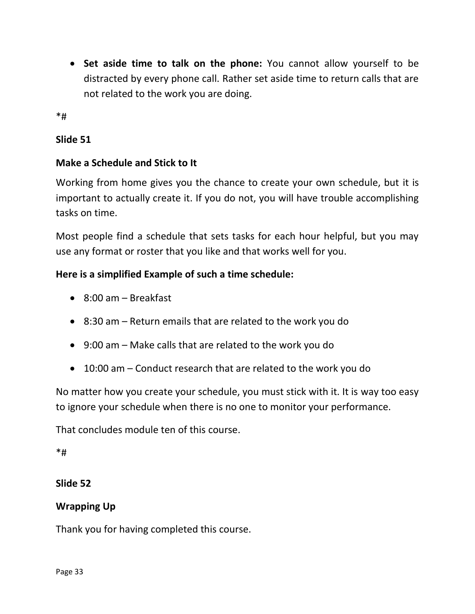• **Set aside time to talk on the phone:** You cannot allow yourself to be distracted by every phone call. Rather set aside time to return calls that are not related to the work you are doing.

\*#

### **Slide 51**

### **Make a Schedule and Stick to It**

Working from home gives you the chance to create your own schedule, but it is important to actually create it. If you do not, you will have trouble accomplishing tasks on time.

Most people find a schedule that sets tasks for each hour helpful, but you may use any format or roster that you like and that works well for you.

### **Here is a simplified Example of such a time schedule:**

- 8:00 am Breakfast
- 8:30 am Return emails that are related to the work you do
- 9:00 am Make calls that are related to the work you do
- 10:00 am Conduct research that are related to the work you do

No matter how you create your schedule, you must stick with it. It is way too easy to ignore your schedule when there is no one to monitor your performance.

That concludes module ten of this course.

#### \*#

### **Slide 52**

### **Wrapping Up**

Thank you for having completed this course.